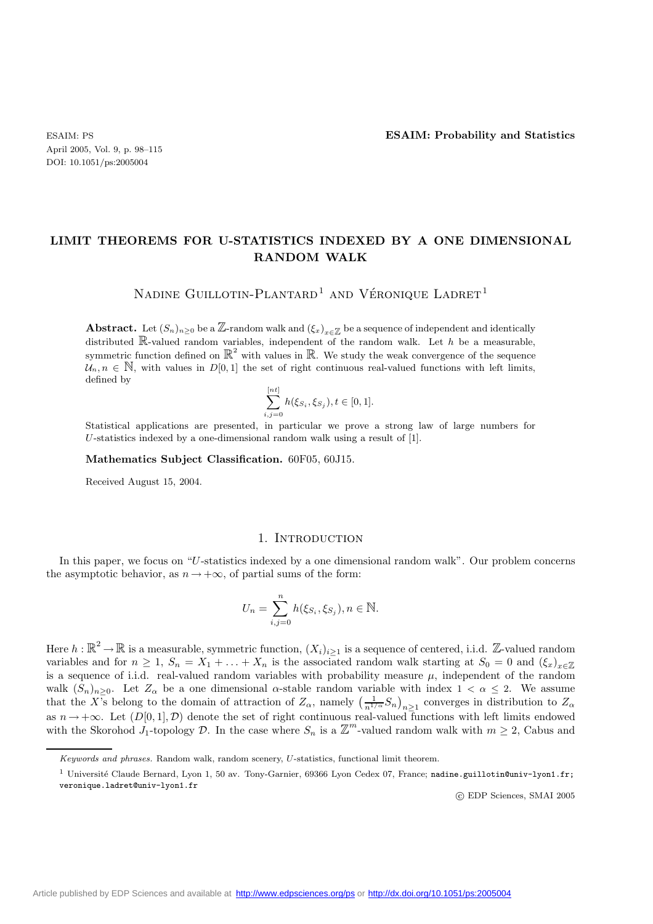April 2005, Vol. 9, p. 98–115 DOI: 10.1051/ps:2005004

# **LIMIT THEOREMS FOR U-STATISTICS INDEXED BY A ONE DIMENSIONAL RANDOM WALK**

NADINE GUILLOTIN-PLANTARD<sup>1</sup> AND VÉRONIQUE LADRET<sup>1</sup>

**Abstract.** Let  $(S_n)_{n\geq 0}$  be a Z-random walk and  $(\xi_x)_{x\in\mathbb{Z}}$  be a sequence of independent and identically distributed  $\mathbb{R}$ -valued random variables, independent of the random walk. Let h be a measurable, symmetric function defined on  $\mathbb{R}^2$  with values in  $\mathbb{R}$ . We study the weak convergence of the sequence  $\mathcal{U}_n, n \in \mathbb{N}$ , with values in  $D[0,1]$  the set of right continuous real-valued functions with left limits, defined by

$$
\sum_{i,j=0}^{[nt]} h(\xi_{S_i}, \xi_{S_j}), t \in [0,1].
$$

Statistical applications are presented, in particular we prove a strong law of large numbers for U-statistics indexed by a one-dimensional random walk using a result of  $[1]$ .

**Mathematics Subject Classification.** 60F05, 60J15.

Received August 15, 2004.

#### 1. INTRODUCTION

In this paper, we focus on "U-statistics indexed by a one dimensional random walk". Our problem concerns the asymptotic behavior, as  $n \to +\infty$ , of partial sums of the form:

$$
U_n = \sum_{i,j=0}^n h(\xi_{S_i}, \xi_{S_j}), n \in \mathbb{N}.
$$

Here  $h : \mathbb{R}^2 \to \mathbb{R}$  is a measurable, symmetric function,  $(X_i)_{i\geq 1}$  is a sequence of centered, i.i.d. Z-valued random variables and for  $n \geq 1$ ,  $S_n = X_1 + \ldots + X_n$  is the associated random walk starting at  $S_0 = 0$  and  $(\xi_x)_{x \in \mathbb{Z}}$ is a sequence of i.i.d. real-valued random variables with probability measure  $\mu$ , independent of the random walk  $(S_n)_{n\geq 0}$ . Let  $Z_\alpha$  be a one dimensional  $\alpha$ -stable random variable with index  $1 < \alpha \leq 2$ . We assume that the X's belong to the domain of attraction of  $Z_{\alpha}$ , namely  $\left(\frac{1}{n^{1/\alpha}}S_n\right)_{n\geq 1}$  converges in distribution to  $Z_{\alpha}$ as  $n \to +\infty$ . Let  $(D[0,1], \mathcal{D})$  denote the set of right continuous real-valued functions with left limits endowed with the Skorohod  $J_1$ -topology  $\mathcal{D}$ . In the case where  $S_n$  is a  $\mathbb{Z}^m$ -valued random walk with

c EDP Sciences, SMAI 2005

*Keywords and phrases.* Random walk, random scenery, *U*-statistics, functional limit theorem.

<sup>&</sup>lt;sup>1</sup> Université Claude Bernard, Lyon 1, 50 av. Tony-Garnier, 69366 Lyon Cedex 07, France; nadine.guillotin@univ-lyon1.fr; veronique.ladret@univ-lyon1.fr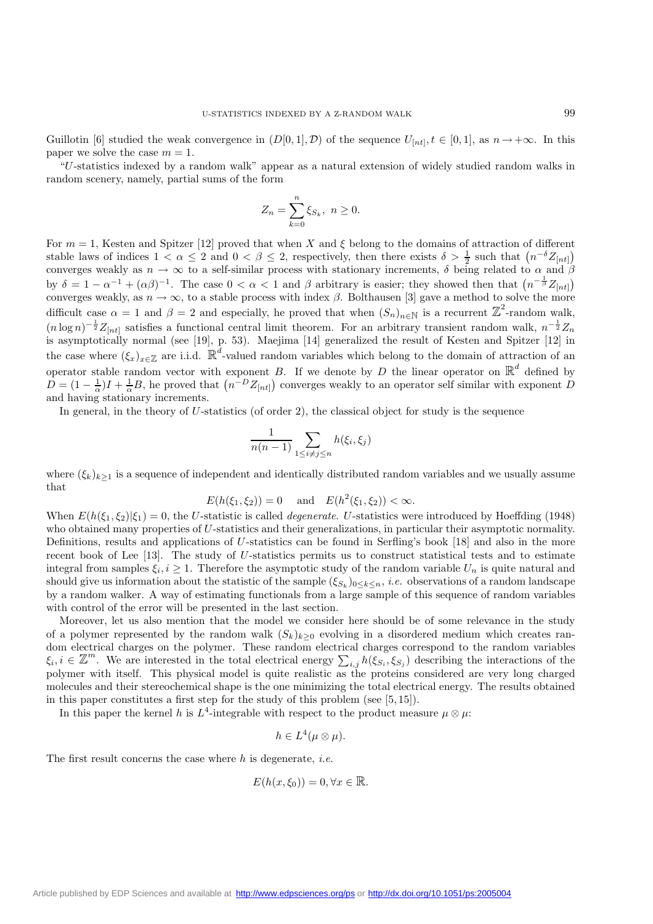Guillotin [6] studied the weak convergence in  $(D[0,1], \mathcal{D})$  of the sequence  $U_{[nt]}$ ,  $t \in [0,1]$ , as  $n \to +\infty$ . In this paper we solve the case  $m = 1$ .

"U-statistics indexed by a random walk" appear as a natural extension of widely studied random walks in random scenery, namely, partial sums of the form

$$
Z_n = \sum_{k=0}^n \xi_{S_k}, \ n \ge 0.
$$

For  $m = 1$ , Kesten and Spitzer [12] proved that when X and  $\xi$  belong to the domains of attraction of different stable laws of indices  $1 < \alpha \leq 2$  and  $0 < \beta \leq 2$ , respectively, then there exists  $\delta > \frac{1}{2}$  such that  $(n^{-\delta} Z_{[nt]})$ converges weakly as  $n \to \infty$  to a self-similar process with stationary increments,  $\delta$  being related to  $\alpha$  and  $\beta$ by  $\delta = 1 - \alpha^{-1} + (\alpha \beta)^{-1}$ . The case  $0 < \alpha < 1$  and  $\beta$  arbitrary is easier; they showed then that  $(n^{-\frac{1}{\beta}} Z_{[nt]})$ converges weakly, as  $n \to \infty$ , to a stable process with index  $\beta$ . Bolthausen [3] gave a method to solve the more difficult case  $\alpha = 1$  and  $\beta = 2$  and especially, he proved that when  $(S_n)_{n \in \mathbb{N}}$  is a recurrent  $\mathbb{Z}^2$ -random walk,  $(n \log n)^{-\frac{1}{2}} Z_{[nt]}$  satisfies a functional central limit theorem. For an arbitrary transient random walk,  $n^{-\frac{1}{2}} Z_n$ is asymptotically normal (see [19], p. 53). Maejima [14] generalized the result of Kesten and Spitzer [12] in the case where  $(\xi_x)_{x\in\mathbb{Z}}$  are i.i.d.  $\mathbb{R}^d$ -valued random variables which belong to the domain of attraction of an operator stable random vector with exponent B. If we denote by D the linear operator on  $\mathbb{R}^d$  defined by  $D = (1 - \frac{1}{\alpha})I + \frac{1}{\alpha}B$ , he proved that  $(n^{-D}Z_{[nt]})$  converges weakly to an operator self similar with exponent D and having stationary increments.

In general, in the theory of  $U$ -statistics (of order 2), the classical object for study is the sequence

$$
\frac{1}{n(n-1)} \sum_{1 \le i \ne j \le n} h(\xi_i, \xi_j)
$$

where  $(\xi_k)_{k>1}$  is a sequence of independent and identically distributed random variables and we usually assume that

$$
E(h(\xi_1, \xi_2)) = 0
$$
 and  $E(h^2(\xi_1, \xi_2)) < \infty$ .

When  $E(h(\xi_1,\xi_2)|\xi_1)=0$ , the U-statistic is called *degenerate*. U-statistics were introduced by Hoeffding (1948) who obtained many properties of U-statistics and their generalizations, in particular their asymptotic normality. Definitions, results and applications of U-statistics can be found in Serfling's book [18] and also in the more recent book of Lee [13]. The study of U-statistics permits us to construct statistical tests and to estimate integral from samples  $\xi_i, i \geq 1$ . Therefore the asymptotic study of the random variable  $U_n$  is quite natural and should give us information about the statistic of the sample  $(\xi_{S_k})_{0\leq k\leq n}$ , *i.e.* observations of a random landscape by a random walker. A way of estimating functionals from a large sample of this sequence of random variables with control of the error will be presented in the last section.

Moreover, let us also mention that the model we consider here should be of some relevance in the study of a polymer represented by the random walk  $(S_k)_{k\geq 0}$  evolving in a disordered medium which creates random electrical charges on the polymer. These random electrical charges correspond to the random variables  $\xi_i, i \in \mathbb{Z}^m$ . We are interested in the total electrical energy  $\sum_{i,j} h(\xi_{S_i}, \xi_{S_j})$  describing the interactions of the polymer with itself. This physical model is quite realistic as the proteins considered are very long charged molecules and their stereochemical shape is the one minimizing the total electrical energy. The results obtained in this paper constitutes a first step for the study of this problem (see [5, 15]).

In this paper the kernel h is  $L^4$ -integrable with respect to the product measure  $\mu \otimes \mu$ :

$$
h \in L^4(\mu \otimes \mu).
$$

The first result concerns the case where h is degenerate, *i.e.*

$$
E(h(x,\xi_0)) = 0, \forall x \in \mathbb{R}.
$$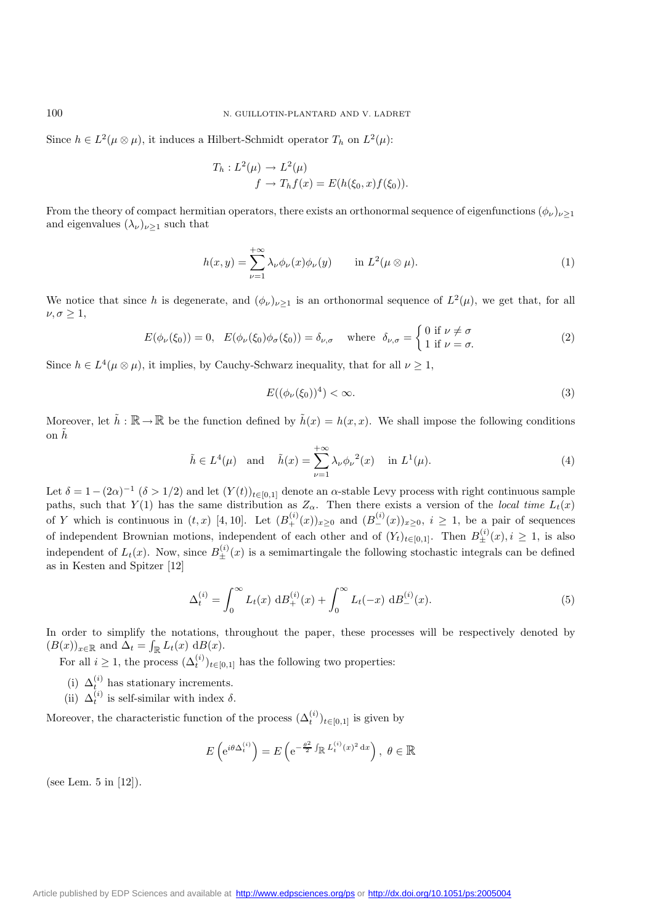Since  $h \in L^2(\mu \otimes \mu)$ , it induces a Hilbert-Schmidt operator  $T_h$  on  $L^2(\mu)$ :

$$
T_h: L^2(\mu) \to L^2(\mu)
$$
  

$$
f \to T_h f(x) = E(h(\xi_0, x) f(\xi_0)).
$$

From the theory of compact hermitian operators, there exists an orthonormal sequence of eigenfunctions  $(\phi_\nu)_{\nu\geq 1}$ and eigenvalues  $(\lambda_{\nu})_{\nu\geq 1}$  such that

$$
h(x,y) = \sum_{\nu=1}^{+\infty} \lambda_{\nu} \phi_{\nu}(x) \phi_{\nu}(y) \quad \text{in } L^{2}(\mu \otimes \mu).
$$
 (1)

We notice that since h is degenerate, and  $(\phi_{\nu})_{\nu>1}$  is an orthonormal sequence of  $L^2(\mu)$ , we get that, for all  $\nu, \sigma \geq 1$ ,

$$
E(\phi_{\nu}(\xi_0)) = 0, \quad E(\phi_{\nu}(\xi_0)\phi_{\sigma}(\xi_0)) = \delta_{\nu,\sigma} \quad \text{where} \quad \delta_{\nu,\sigma} = \begin{cases} 0 \text{ if } \nu \neq \sigma \\ 1 \text{ if } \nu = \sigma. \end{cases}
$$
 (2)

Since  $h \in L^4(\mu \otimes \mu)$ , it implies, by Cauchy-Schwarz inequality, that for all  $\nu \geq 1$ ,

$$
E((\phi_{\nu}(\xi_0))^4) < \infty. \tag{3}
$$

Moreover, let  $\tilde{h} : \mathbb{R} \to \mathbb{R}$  be the function defined by  $\tilde{h}(x) = h(x, x)$ . We shall impose the following conditions on  $h$ 

$$
\tilde{h} \in L^{4}(\mu) \quad \text{and} \quad \tilde{h}(x) = \sum_{\nu=1}^{+\infty} \lambda_{\nu} \phi_{\nu}^{2}(x) \quad \text{in } L^{1}(\mu). \tag{4}
$$

Let  $\delta = 1-(2\alpha)^{-1}$   $(\delta > 1/2)$  and let  $(Y(t))_{t\in[0,1]}$  denote an  $\alpha$ -stable Levy process with right continuous sample paths, such that Y(1) has the same distribution as  $Z_{\alpha}$ . Then there exists a version of the *local time*  $L_t(x)$ of Y which is continuous in  $(t, x)$  [4, 10]. Let  $(B_+^{(i)}(x))_{x\geq 0}$  and  $(B_-^{(i)}(x))_{x\geq 0}$ ,  $i \geq 1$ , be a pair of sequences of independent Brownian motions, independent of each other and of  $(Y_t)_{t\in[0,1]}$ . Then  $B_{\pm}^{(i)}(x), i \geq 1$ , is also independent of  $L_t(x)$ . Now, since  $B_{\pm}^{(i)}(x)$  is a semimartingale the following stochastic integrals can be defined as in Kesten and Spitzer [12]

$$
\Delta_t^{(i)} = \int_0^\infty L_t(x) \, \mathrm{d}B_+^{(i)}(x) + \int_0^\infty L_t(-x) \, \mathrm{d}B_-^{(i)}(x). \tag{5}
$$

In order to simplify the notations, throughout the paper, these processes will be respectively denoted by  $(B(x))_{x\in\mathbb{R}}$  and  $\Delta_t = \int_{\mathbb{R}} L_t(x) dB(x)$ .

For all  $i \geq 1$ , the process  $(\Delta_t^{(i)})_{t \in [0,1]}$  has the following two properties:

- (i)  $\Delta_t^{(i)}$  has stationary increments.
- (ii)  $\Delta_t^{(i)}$  is self-similar with index  $\delta$ .

Moreover, the characteristic function of the process  $(\Delta_t^{(i)})_{t\in[0,1]}$  is given by

$$
E\left(e^{i\theta\Delta_t^{(i)}}\right) = E\left(e^{-\frac{\theta^2}{2}\int_{\mathbb{R}} L_t^{(i)}(x)^2 dx}\right), \ \theta \in \mathbb{R}
$$

(see Lem. 5 in [12]).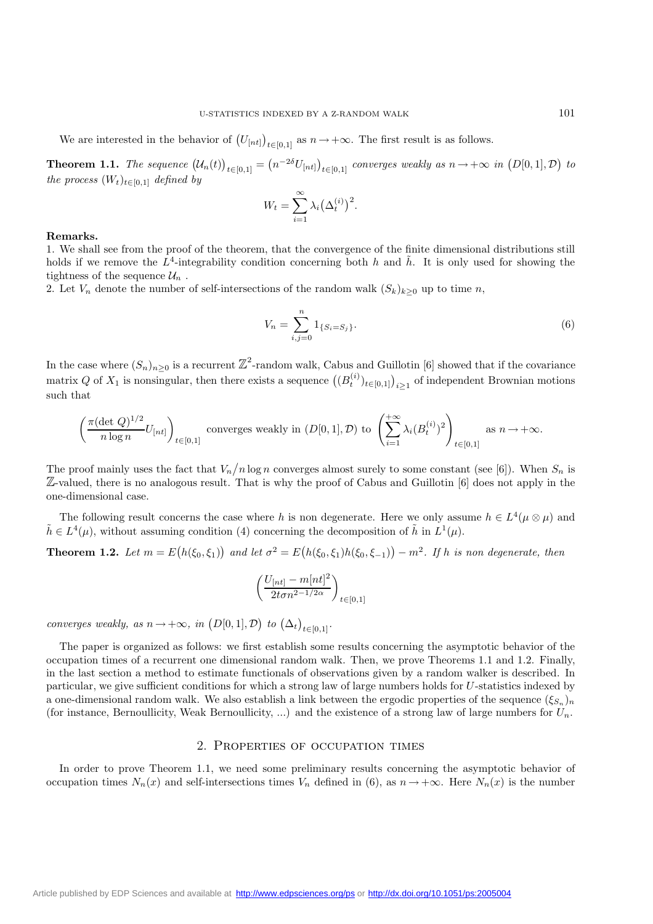**Theorem 1.1.** The sequence  $(U_n(t))_{t\in[0,1]} = (n^{-2\delta}U_{[nt]})_{t\in[0,1]}$  converges weakly as  $n \to +\infty$  in  $(D[0,1], \mathcal{D})$  to *the process*  $(W_t)_{t \in [0,1]}$  *defined by* 

$$
W_t = \sum_{i=1}^{\infty} \lambda_i (\Delta_t^{(i)})^2.
$$

#### **Remarks.**

1. We shall see from the proof of the theorem, that the convergence of the finite dimensional distributions still holds if we remove the  $L^4$ -integrability condition concerning both h and h. It is only used for showing the tightness of the sequence  $\mathcal{U}_n$ .

2. Let  $V_n$  denote the number of self-intersections of the random walk  $(S_k)_{k\geq 0}$  up to time n,

$$
V_n = \sum_{i,j=0}^n 1_{\{S_i = S_j\}}.\tag{6}
$$

In the case where  $(S_n)_{n\geq 0}$  is a recurrent  $\mathbb{Z}^2$ -random walk, Cabus and Guillotin [6] showed that if the covariance matrix Q of  $X_1$  is nonsingular, then there exists a sequence  $((B_t^{(i)})_{t\in[0,1]})_{i\geq 1}$  of independent Brownian motions such that

$$
\left(\frac{\pi(\det Q)^{1/2}}{n \log n} U_{[nt]}\right)_{t \in [0,1]} \text{ converges weakly in } (D[0,1],\mathcal{D}) \text{ to } \left(\sum_{i=1}^{+\infty} \lambda_i (B_t^{(i)})^2\right)_{t \in [0,1]} \text{ as } n \to +\infty.
$$

The proof mainly uses the fact that  $V_n/n \log n$  converges almost surely to some constant (see [6]). When  $S_n$  is Z-valued, there is no analogous result. That is why the proof of Cabus and Guillotin [6] does not apply in the one-dimensional case.

The following result concerns the case where h is non degenerate. Here we only assume  $h \in L^4(\mu \otimes \mu)$  and  $\tilde{h} \in L^4(\mu)$ , without assuming condition (4) concerning the decomposition of  $\tilde{h}$  in  $L^1(\mu)$ .

**Theorem 1.2.** Let  $m = E(h(\xi_0, \xi_1))$  and let  $\sigma^2 = E(h(\xi_0, \xi_1)h(\xi_0, \xi_{-1})) - m^2$ . If h is non degenerate, then

$$
\left(\frac{U_{[nt]} - m[nt]^2}{2t\sigma n^{2-1/2\alpha}}\right)_{t \in [0,1]}
$$

*converges weakly, as*  $n \to +\infty$ *, in*  $(D[0, 1], \mathcal{D})$  *to*  $(\Delta_t)_{t \in [0, 1]}$ *.* 

The paper is organized as follows: we first establish some results concerning the asymptotic behavior of the occupation times of a recurrent one dimensional random walk. Then, we prove Theorems 1.1 and 1.2. Finally, in the last section a method to estimate functionals of observations given by a random walker is described. In particular, we give sufficient conditions for which a strong law of large numbers holds for U-statistics indexed by a one-dimensional random walk. We also establish a link between the ergodic properties of the sequence  $(\xi_{S_n})_n$ (for instance, Bernoullicity, Weak Bernoullicity, ...) and the existence of a strong law of large numbers for  $U_n$ .

#### 2. Properties of occupation times

In order to prove Theorem 1.1, we need some preliminary results concerning the asymptotic behavior of occupation times  $N_n(x)$  and self-intersections times  $V_n$  defined in (6), as  $n \to +\infty$ . Here  $N_n(x)$  is the number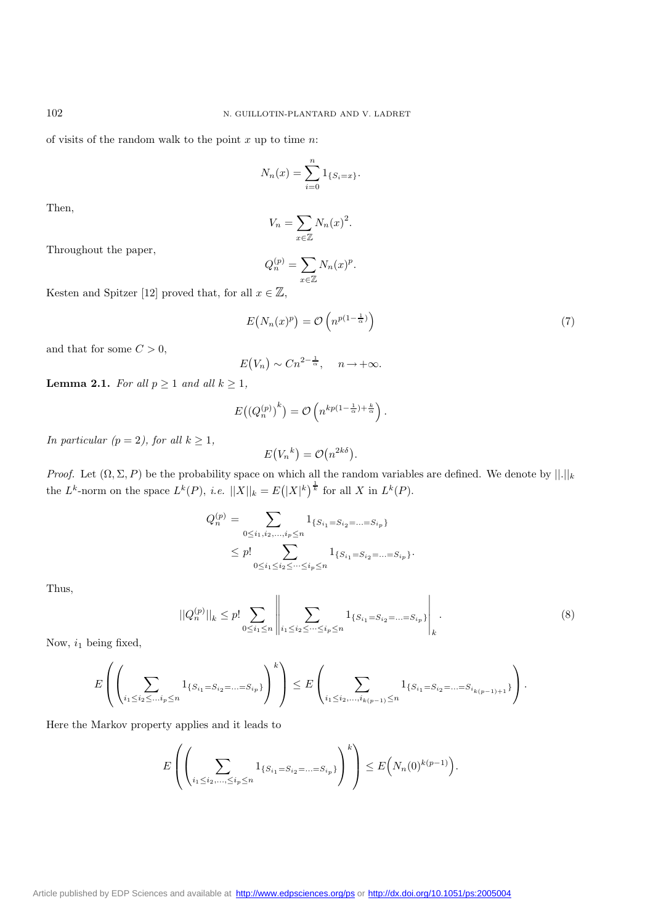of visits of the random walk to the point  $x$  up to time  $n$ :

$$
N_n(x) = \sum_{i=0}^n 1_{\{S_i = x\}}.
$$

Then,

$$
V_n = \sum_{x \in \mathbb{Z}} N_n(x)^2.
$$

Throughout the paper,

$$
Q_n^{(p)} = \sum_{x \in \mathbb{Z}} N_n(x)^p.
$$

Kesten and Spitzer [12] proved that, for all  $x \in \mathbb{Z}$ ,

$$
E(N_n(x)^p) = \mathcal{O}\left(n^{p(1-\frac{1}{\alpha})}\right) \tag{7}
$$

and that for some  $C > 0$ ,

$$
E(V_n) \sim C n^{2-\frac{1}{\alpha}}, \quad n \to +\infty.
$$

**Lemma 2.1.** *For all*  $p \geq 1$  *and all*  $k \geq 1$ *,* 

$$
E\big(\big(Q_n^{(p)}\big)^k\big) = \mathcal{O}\left(n^{kp(1-\frac{1}{\alpha})+\frac{k}{\alpha}}\right).
$$

*In particular (p = 2), for all*  $k \geq 1$ *,* 

*Proof.* Let  $(\Omega, \Sigma, P)$  be the probability space on which all the random variables are defined. We denote by  $||.||_k$ the  $L^k$ -norm on the space  $L^k(P)$ , *i.e.*  $||X||_k = E(|X|^k)^{\frac{1}{k}}$  for all X in  $L^k(P)$ .

 $E(V_n^k) = \mathcal{O}(n^{2k\delta}).$ 

$$
Q_n^{(p)} = \sum_{0 \le i_1, i_2, \dots, i_p \le n} 1_{\{S_{i_1} = S_{i_2} = \dots = S_{i_p}\}} \le p! \sum_{0 \le i_1 \le i_2 \le \dots \le i_p \le n} 1_{\{S_{i_1} = S_{i_2} = \dots = S_{i_p}\}}.
$$

Thus,

$$
||Q_n^{(p)}||_k \le p! \sum_{0 \le i_1 \le n} \left|| \sum_{i_1 \le i_2 \le \dots \le i_p \le n} 1_{\{S_{i_1} = S_{i_2} = \dots = S_{i_p}\}} \right|_k.
$$
 (8)

Now,  $i_1$  being fixed,

$$
E\left(\left(\sum_{i_1\leq i_2\leq \ldots i_p\leq n}1_{\{S_{i_1}=S_{i_2}=\ldots=S_{i_p}\}}\right)^k\right)\leq E\left(\sum_{i_1\leq i_2,\ldots,i_{k(p-1)}\leq n}1_{\{S_{i_1}=S_{i_2}=\ldots=S_{i_{k(p-1)+1}}\}}\right).
$$

Here the Markov property applies and it leads to

$$
E\left(\left(\sum_{i_1\leq i_2,\ldots,i_p\leq n}1_{\{S_{i_1}=S_{i_2}=\ldots=S_{i_p}\}}\right)^k\right)\leq E\Big(N_n(0)^{k(p-1)}\Big).
$$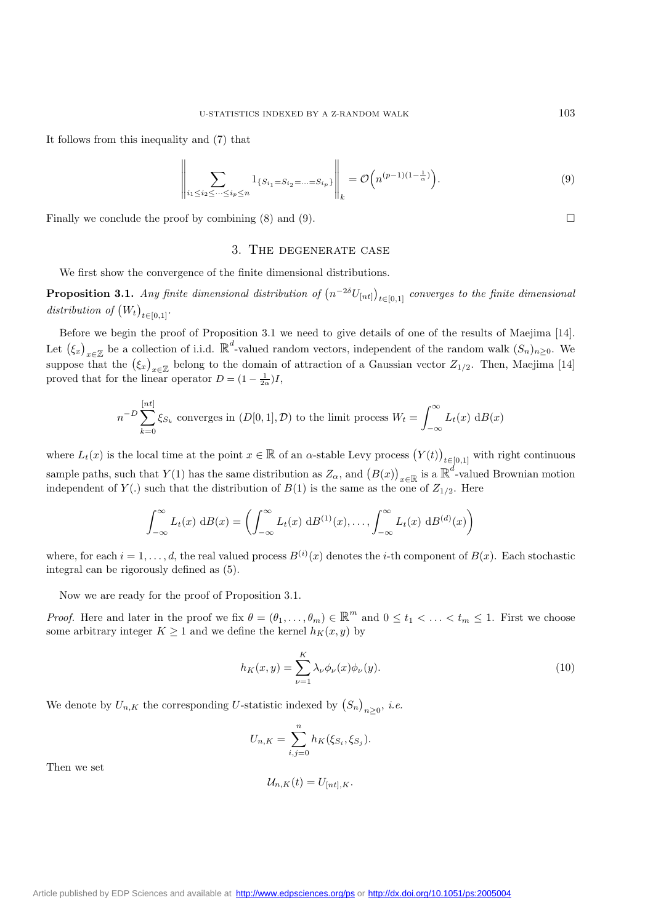It follows from this inequality and (7) that

$$
\left\| \sum_{i_1 \le i_2 \le \dots \le i_p \le n} 1_{\{S_{i_1} = S_{i_2} = \dots = S_{i_p}\}} \right\|_k = \mathcal{O}\left(n^{(p-1)(1-\frac{1}{\alpha})}\right).
$$
\n(9)

Finally we conclude the proof by combining  $(8)$  and  $(9)$ .

#### 3. The degenerate case

We first show the convergence of the finite dimensional distributions.

**Proposition 3.1.** *Any finite dimensional distribution of*  $(n^{-2\delta}U_{[nt]})_{t\in[0,1]}$  *converges to the finite dimensional* distribution of  $(W_t)_{t \in [0,1]}$ .

Before we begin the proof of Proposition 3.1 we need to give details of one of the results of Maejima [14]. Let  $(\xi_x)_{x\in\mathbb{Z}}$  be a collection of i.i.d.  $\mathbb{R}^d$ -valued random vectors, independent of the random walk  $(S_n)_{n\geq 0}$ . We suppose that the  $(\xi_x)_{x\in\mathbb{Z}}$  belong to the domain of attraction of a Gaussian vector  $Z_{1/2}$ . Then, Maejima [14] proved that for the linear operator  $D = (1 - \frac{1}{2\alpha})I$ ,

$$
n^{-D} \sum_{k=0}^{[nt]} \xi_{S_k}
$$
 converges in  $(D[0,1], \mathcal{D})$  to the limit process  $W_t = \int_{-\infty}^{\infty} L_t(x) dB(x)$ 

where  $L_t(x)$  is the local time at the point  $x \in \mathbb{R}$  of an  $\alpha$ -stable Levy process  $(Y(t))_{t \in [0,1]}$  with right continuous sample paths, such that  $Y(1)$  has the same distribution as  $Z_{\alpha}$ , and  $(B(x))_{x\in\mathbb{R}}$  is a  $\mathbb{R}^d$ -valued Brownian motion independent of  $Y(.)$  such that the distribution of  $B(1)$  is the same as the one of  $Z_{1/2}$ . Here

$$
\int_{-\infty}^{\infty} L_t(x) \, \mathrm{d}B(x) = \left( \int_{-\infty}^{\infty} L_t(x) \, \mathrm{d}B^{(1)}(x), \dots, \int_{-\infty}^{\infty} L_t(x) \, \mathrm{d}B^{(d)}(x) \right)
$$

where, for each  $i = 1, \ldots, d$ , the real valued process  $B^{(i)}(x)$  denotes the *i*-th component of  $B(x)$ . Each stochastic integral can be rigorously defined as (5).

Now we are ready for the proof of Proposition 3.1.

*Proof.* Here and later in the proof we fix  $\theta = (\theta_1, \dots, \theta_m) \in \mathbb{R}^m$  and  $0 \le t_1 < \dots < t_m \le 1$ . First we choose some arbitrary integer  $K \geq 1$  and we define the kernel  $h_K(x, y)$  by

$$
h_K(x,y) = \sum_{\nu=1}^K \lambda_\nu \phi_\nu(x) \phi_\nu(y). \tag{10}
$$

We denote by  $U_{n,K}$  the corresponding U-statistic indexed by  $(S_n)_{n\geq 0}$ , *i.e.* 

$$
U_{n,K} = \sum_{i,j=0}^{n} h_K(\xi_{S_i}, \xi_{S_j}).
$$

Then we set

$$
\mathcal{U}_{n,K}(t) = U_{[nt],K}.
$$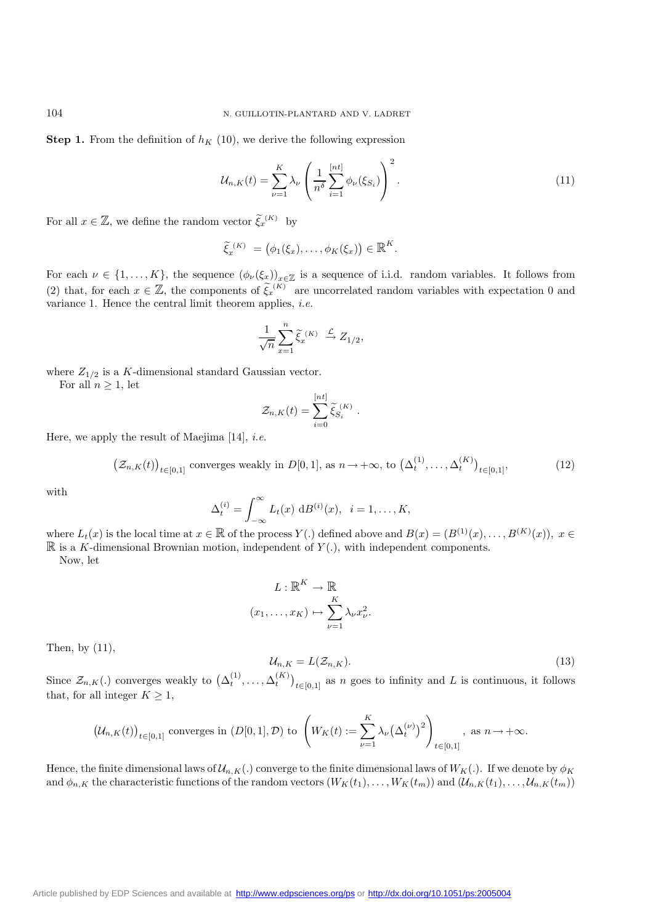**Step 1.** From the definition of  $h_K$  (10), we derive the following expression

$$
\mathcal{U}_{n,K}(t) = \sum_{\nu=1}^{K} \lambda_{\nu} \left( \frac{1}{n^{\delta}} \sum_{i=1}^{[nt]} \phi_{\nu}(\xi_{S_i}) \right)^2.
$$
 (11)

For all  $x \in \mathbb{Z}$ , we define the random vector  $\tilde{\xi}_x^{(K)}$  by

$$
\widetilde{\xi}_x^{(K)} = (\phi_1(\xi_x), \ldots, \phi_K(\xi_x)) \in \mathbb{R}^K.
$$

For each  $\nu \in \{1,\ldots,K\}$ , the sequence  $(\phi_{\nu}(\xi_x))_{x\in\mathbb{Z}}$  is a sequence of i.i.d. random variables. It follows from (2) that, for each  $x \in \mathbb{Z}$ , the components of  $\tilde{\xi}_x^{(K)}$  are uncorrelated random variables with expectation 0 and variance 1. Hence the central limit theorem applies, *i.e.*

$$
\frac{1}{\sqrt{n}}\sum_{x=1}^n \widetilde{\xi}_x^{(K)} \stackrel{\mathcal{L}}{\to} Z_{1/2},
$$

where  $Z_{1/2}$  is a K-dimensional standard Gaussian vector.

For all  $n > 1$ , let

$$
\mathcal{Z}_{n,K}(t) = \sum_{i=0}^{[nt]} \widetilde{\xi}_{S_i}^{(K)}.
$$

Here, we apply the result of Maejima [14], *i.e.*

$$
\left(\mathcal{Z}_{n,K}(t)\right)_{t\in[0,1]}\text{ converges weakly in }D[0,1],\text{ as }n\to+\infty,\text{ to }\left(\Delta_t^{(1)},\ldots,\Delta_t^{(K)}\right)_{t\in[0,1]},\tag{12}
$$

with

$$
\Delta_t^{(i)} = \int_{-\infty}^{\infty} L_t(x) \, \mathrm{d}B^{(i)}(x), \quad i = 1, \dots, K,
$$

where  $L_t(x)$  is the local time at  $x \in \mathbb{R}$  of the process  $Y(.)$  defined above and  $B(x) = (B^{(1)}(x),...,B^{(K)}(x)), x \in$  $\mathbb R$  is a K-dimensional Brownian motion, independent of  $Y(.)$ , with independent components.

Now, let

$$
L: \mathbb{R}^{K} \to \mathbb{R}
$$

$$
(x_1, \dots, x_K) \mapsto \sum_{\nu=1}^{K} \lambda_{\nu} x_{\nu}^{2}.
$$

Then, by (11),

$$
\mathcal{U}_{n,K} = L(\mathcal{Z}_{n,K}).\tag{13}
$$

Since  $\mathcal{Z}_{n,K}(.)$  converges weakly to  $(\Delta_t^{(1)}, \ldots, \Delta_t^{(K)})_{t \in [0,1]}$  as n goes to infinity and L is continuous, it follows that, for all integer  $K \geq 1$ ,

$$
\big(\mathcal{U}_{n,K}(t)\big)_{t\in[0,1]}\text{ converges in }(D[0,1],\mathcal{D})\text{ to }\left(W_K(t):=\sum_{\nu=1}^K\lambda_{\nu}\big(\Delta_t^{(\nu)}\big)^2\right)_{t\in[0,1]},\text{ as }n\to+\infty.
$$

Hence, the finite dimensional laws of  $\mathcal{U}_{n,K}(.)$  converge to the finite dimensional laws of  $W_K(.)$ . If we denote by  $\phi_K$ and  $\phi_{n,K}$  the characteristic functions of the random vectors  $(W_K(t_1),...,W_K(t_m))$  and  $(U_{n,K}(t_1),...,U_{n,K}(t_m))$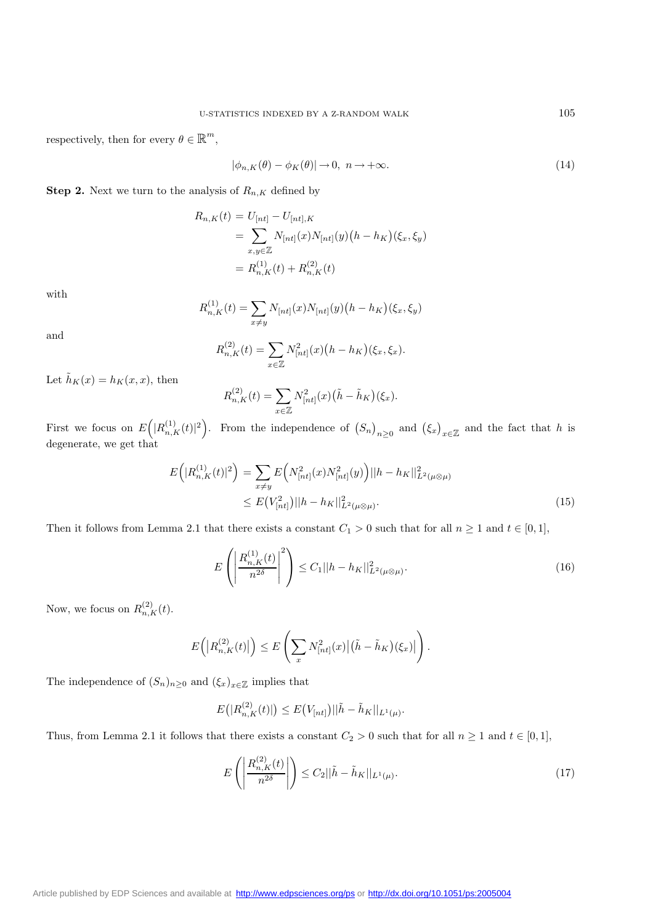respectively, then for every  $\theta \in \mathbb{R}^m,$ 

$$
|\phi_{n,K}(\theta) - \phi_K(\theta)| \to 0, \ n \to +\infty. \tag{14}
$$

**Step 2.** Next we turn to the analysis of  $R_{n,K}$  defined by

$$
R_{n,K}(t) = U_{[nt]} - U_{[nt],K}
$$
  
= 
$$
\sum_{x,y \in \mathbb{Z}} N_{[nt]}(x)N_{[nt]}(y) (h - h_K)(\xi_x, \xi_y)
$$
  
= 
$$
R_{n,K}^{(1)}(t) + R_{n,K}^{(2)}(t)
$$

with

$$
R_{n,K}^{(1)}(t) = \sum_{x \neq y} N_{[nt]}(x) N_{[nt]}(y) (h - h_K)(\xi_x, \xi_y)
$$

and

$$
R_{n,K}^{(2)}(t) = \sum_{x \in \mathbb{Z}} N_{[nt]}^2(x) (h - h_K)(\xi_x, \xi_x).
$$

Let  $\tilde{h}_K(x) = h_K(x, x)$ , then

$$
R_{n,K}^{(2)}(t) = \sum_{x \in \mathbb{Z}} N_{[nt]}^2(x) (\tilde{h} - \tilde{h}_K)(\xi_x).
$$

First we focus on  $E(|R_{n,K}^{(1)}(t)|^2)$ . From the independence of  $(S_n)_{n\geq 0}$  and  $(\xi_x)_{x\in\mathbb{Z}}$  and the fact that h is degenerate, we get that

$$
E\left(|R_{n,K}^{(1)}(t)|^2\right) = \sum_{x \neq y} E\left(N_{[nt]}^2(x)N_{[nt]}^2(y)\right) ||h - h_K||_{L^2(\mu \otimes \mu)}^2
$$
  
 
$$
\leq E\left(V_{[nt]}^2\right) ||h - h_K||_{L^2(\mu \otimes \mu)}^2.
$$
 (15)

Then it follows from Lemma 2.1 that there exists a constant  $C_1 > 0$  such that for all  $n \ge 1$  and  $t \in [0, 1]$ ,

$$
E\left(\left|\frac{R_{n,K}^{(1)}(t)}{n^{2\delta}}\right|^2\right) \le C_1 ||h - h_K||_{L^2(\mu\otimes\mu)}^2.
$$
\n(16)

Now, we focus on  $R_{n,K}^{(2)}(t)$ .

$$
E\left(\left|R_{n,K}^{(2)}(t)\right|\right) \leq E\left(\sum_x N_{[nt]}^2(x)\left|\left(\tilde{h}-\tilde{h}_K\right)(\xi_x)\right|\right).
$$

The independence of  $(S_n)_{n\geq 0}$  and  $(\xi_x)_{x\in\mathbb{Z}}$  implies that

$$
E(|R_{n,K}^{(2)}(t)|) \leq E(V_{[nt]})||\tilde{h} - \tilde{h}_K||_{L^1(\mu)}.
$$

Thus, from Lemma 2.1 it follows that there exists a constant  $C_2 > 0$  such that for all  $n \ge 1$  and  $t \in [0,1]$ ,

$$
E\left(\left|\frac{R_{n,K}^{(2)}(t)}{n^{2\delta}}\right|\right) \le C_2 ||\tilde{h} - \tilde{h}_K||_{L^1(\mu)}.
$$
\n(17)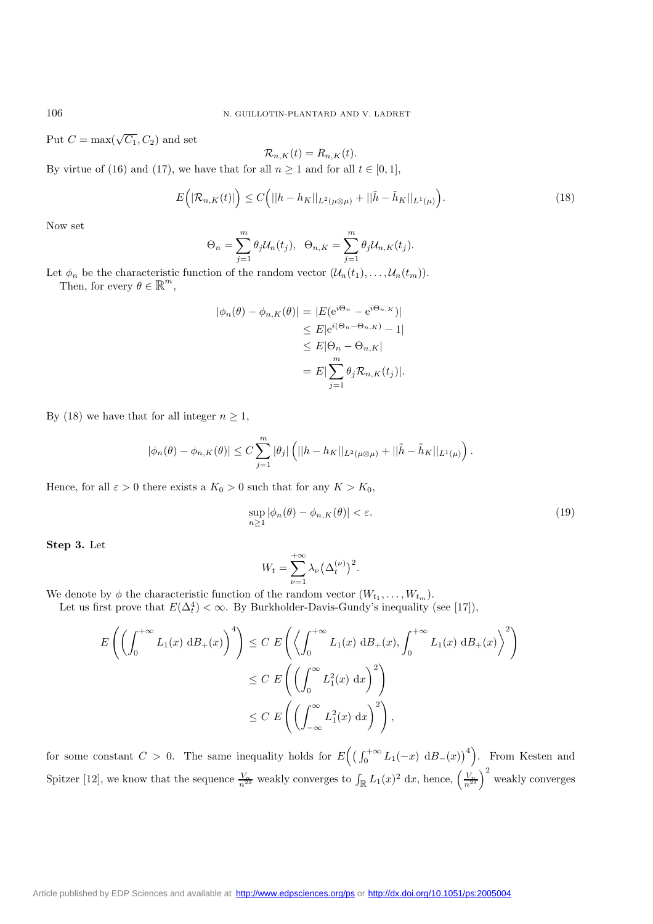Put  $C = \max(\sqrt{C_1}, C_2)$  and set

$$
\mathcal{R}_{n,K}(t) = R_{n,K}(t).
$$

By virtue of (16) and (17), we have that for all  $n \ge 1$  and for all  $t \in [0,1]$ ,

$$
E\left(|\mathcal{R}_{n,K}(t)|\right) \le C\Big(||h-h_K||_{L^2(\mu\otimes\mu)} + ||\tilde{h}-\tilde{h}_K||_{L^1(\mu)}\Big). \tag{18}
$$

Now set

$$
\Theta_n = \sum_{j=1}^m \theta_j \mathcal{U}_n(t_j), \ \ \Theta_{n,K} = \sum_{j=1}^m \theta_j \mathcal{U}_{n,K}(t_j).
$$

Let  $\phi_n$  be the characteristic function of the random vector  $(\mathcal{U}_n(t_1), \ldots, \mathcal{U}_n(t_m))$ .<br>Then, for every  $\theta \in \mathbb{R}^m$ ,

$$
|\phi_n(\theta) - \phi_{n,K}(\theta)| = |E(e^{i\Theta_n} - e^{i\Theta_{n,K}})|
$$
  
\n
$$
\leq E|e^{i(\Theta_n - \Theta_{n,K})} - 1|
$$
  
\n
$$
\leq E|\Theta_n - \Theta_{n,K}|
$$
  
\n
$$
= E|\sum_{j=1}^m \theta_j \mathcal{R}_{n,K}(t_j)|.
$$

By (18) we have that for all integer  $n \geq 1$ ,

$$
|\phi_n(\theta) - \phi_{n,K}(\theta)| \le C \sum_{j=1}^m |\theta_j| \left( ||h - h_K||_{L^2(\mu \otimes \mu)} + ||\tilde{h} - \tilde{h}_K||_{L^1(\mu)} \right).
$$

Hence, for all  $\varepsilon > 0$  there exists a  $K_0 > 0$  such that for any  $K > K_0$ ,

$$
\sup_{n\geq 1} |\phi_n(\theta) - \phi_{n,K}(\theta)| < \varepsilon. \tag{19}
$$

**Step 3.** Let

$$
W_t = \sum_{\nu=1}^{+\infty} \lambda_{\nu} (\Delta_t^{(\nu)})^2.
$$

We denote by  $\phi$  the characteristic function of the random vector  $(W_{t_1}, \ldots, W_{t_m})$ .

Let us first prove that  $E(\Delta_t^4) < \infty$ . By Burkholder-Davis-Gundy's inequality (see [17]),

$$
E\left(\left(\int_0^{+\infty} L_1(x) \, \mathrm{d}B_+(x)\right)^4\right) \le C \ E\left(\left\langle \int_0^{+\infty} L_1(x) \, \mathrm{d}B_+(x), \int_0^{+\infty} L_1(x) \, \mathrm{d}B_+(x)\right\rangle^2\right)
$$
  

$$
\le C \ E\left(\left(\int_0^{\infty} L_1^2(x) \, \mathrm{d}x\right)^2\right)
$$
  

$$
\le C \ E\left(\left(\int_{-\infty}^{\infty} L_1^2(x) \, \mathrm{d}x\right)^2\right),
$$

for some constant  $C > 0$ . The same inequality holds for  $E((\int_0^{+\infty} L_1(-x) dB_-(x))^4)$ . From Kesten and Spitzer [12], we know that the sequence  $\frac{V_n}{n^{2\delta}}$  weakly converges to  $\int_{\mathbb{R}} L_1(x)^2 dx$ , hence,  $\left(\frac{V_n}{n^{2\delta}}\right)^2$  weakly converges

[Article published by EDP Sciences and available at http://www.edpsciences.org/ps](http://www.edpsciences.org/ps) or <http://dx.doi.org/10.1051/ps:2005004>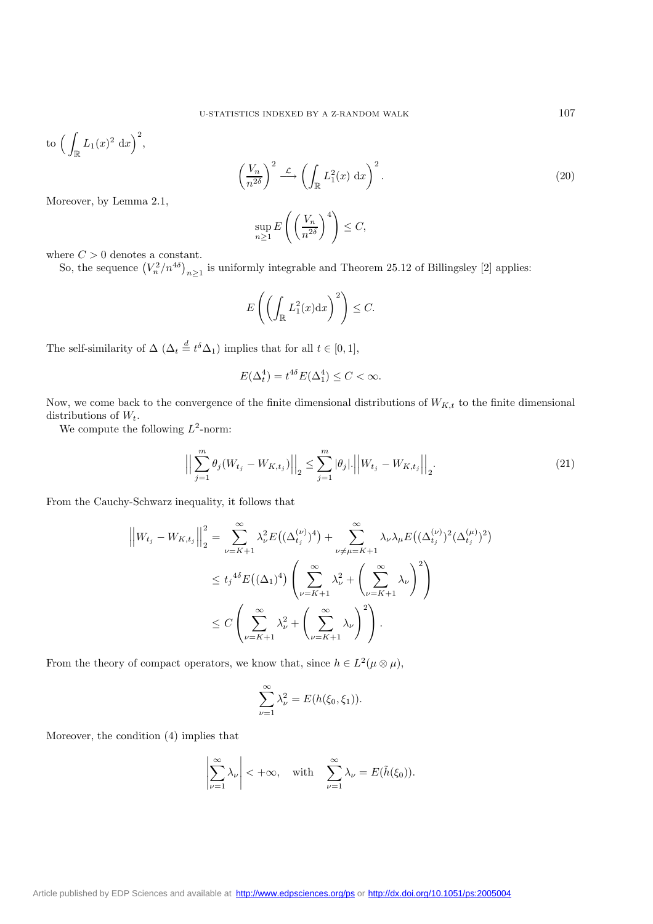to 
$$
\left(\int_{\mathbb{R}} L_1(x)^2 dx\right)^2
$$
,

$$
\left(\frac{V_n}{n^{2\delta}}\right)^2 \xrightarrow{\mathcal{L}} \left(\int_{\mathbb{R}} L_1^2(x) \, \mathrm{d}x\right)^2.
$$
\n
$$
\sup_{n \ge 1} E\left(\left(\frac{V_n}{n^{2\delta}}\right)^4\right) \le C,
$$
\n(20)

Moreover, by Lemma 2.1,

$$
\sup_{n\geq 1} E\left(\left(\frac{V_n}{n^{2\delta}}\right)^4\right) \leq C,
$$

where  $C > 0$  denotes a constant.

So, the sequence  $\left(V_n^2/n^{4\delta}\right)_{n\geq 1}$  is uniformly integrable and Theorem 25.12 of Billingsley [2] applies:

$$
E\left(\left(\int_{\mathbb{R}} L_1^2(x) dx\right)^2\right) \leq C.
$$

The self-similarity of  $\Delta (\Delta_t \stackrel{d}{=} t^{\delta} \Delta_1)$  implies that for all  $t \in [0,1]$ ,

$$
E(\Delta_t^4) = t^{4\delta} E(\Delta_1^4) \le C < \infty.
$$

Now, we come back to the convergence of the finite dimensional distributions of  $W_{K,t}$  to the finite dimensional distributions of  $W_t$ .

We compute the following  $L^2$ -norm:

$$
\Big\|\sum_{j=1}^{m} \theta_j (W_{t_j} - W_{K,t_j})\Big\|_2 \le \sum_{j=1}^{m} |\theta_j| \cdot \Big\|W_{t_j} - W_{K,t_j}\Big\|_2.
$$
\n(21)

From the Cauchy-Schwarz inequality, it follows that

$$
\left| \left| W_{t_j} - W_{K,t_j} \right| \right|_2^2 = \sum_{\nu=K+1}^{\infty} \lambda_{\nu}^2 E\left( (\Delta_{t_j}^{(\nu)})^4 \right) + \sum_{\nu \neq \mu=K+1}^{\infty} \lambda_{\nu} \lambda_{\mu} E\left( (\Delta_{t_j}^{(\nu)})^2 (\Delta_{t_j}^{(\mu)})^2 \right)
$$
  

$$
\leq t_j^{4\delta} E\left( (\Delta_1)^4 \right) \left( \sum_{\nu=K+1}^{\infty} \lambda_{\nu}^2 + \left( \sum_{\nu=K+1}^{\infty} \lambda_{\nu} \right)^2 \right)
$$
  

$$
\leq C \left( \sum_{\nu=K+1}^{\infty} \lambda_{\nu}^2 + \left( \sum_{\nu=K+1}^{\infty} \lambda_{\nu} \right)^2 \right).
$$

From the theory of compact operators, we know that, since  $h\in L^2(\mu\otimes\mu),$ 

$$
\sum_{\nu=1}^{\infty} \lambda_{\nu}^{2} = E(h(\xi_{0}, \xi_{1})).
$$

Moreover, the condition (4) implies that

$$
\left|\sum_{\nu=1}^{\infty}\lambda_{\nu}\right|<+\infty,\quad\text{with}\quad\sum_{\nu=1}^{\infty}\lambda_{\nu}=E(\tilde{h}(\xi_0)).
$$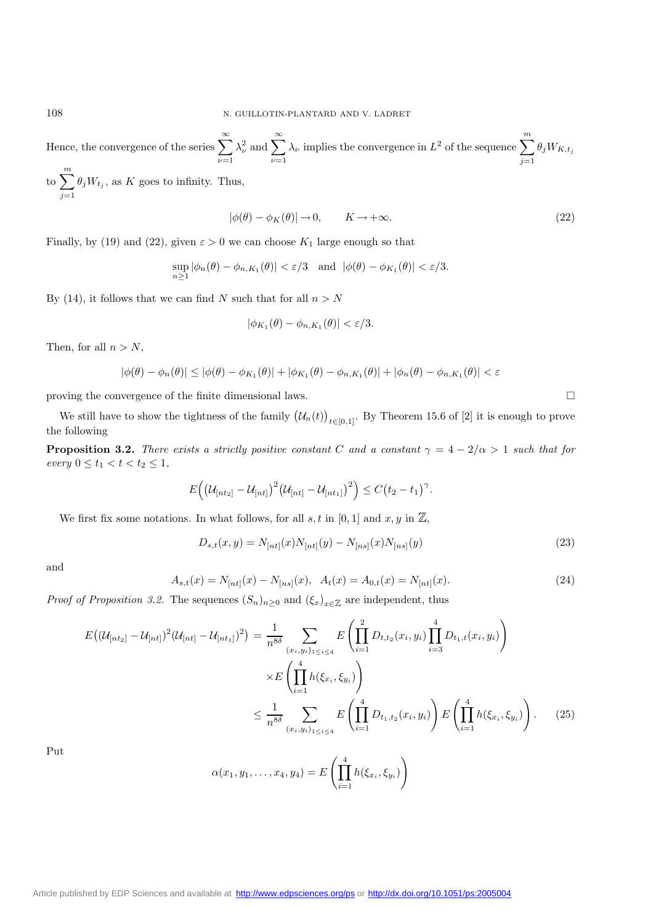Hence, the convergence of the series  $\sum_{n=1}^{\infty}$  $\nu=1$  $\lambda_{\nu}^2$  and  $\sum_{\nu}^{\infty}$  $\nu=1$  $\lambda_{\nu}$  implies the convergence in  $L^2$  of the sequence  $\sum_{n=1}^{\infty}$  $i=1$  $\theta_j W_{K,t_j}$ 

to  $\sum_{n=1}^{\infty}$  $i=1$  $\theta_j W_{t_j}$ , as K goes to infinity. Thus,

$$
|\phi(\theta) - \phi_K(\theta)| \to 0, \qquad K \to +\infty. \tag{22}
$$

Finally, by (19) and (22), given  $\varepsilon > 0$  we can choose  $K_1$  large enough so that

$$
\sup_{n\geq 1} |\phi_n(\theta) - \phi_{n,K_1}(\theta)| < \varepsilon/3 \quad \text{and} \quad |\phi(\theta) - \phi_{K_1}(\theta)| < \varepsilon/3.
$$

By (14), it follows that we can find N such that for all  $n>N$ 

$$
|\phi_{K_1}(\theta) - \phi_{n,K_1}(\theta)| < \varepsilon/3.
$$

Then, for all  $n>N$ ,

$$
|\phi(\theta) - \phi_n(\theta)| \le |\phi(\theta) - \phi_{K_1}(\theta)| + |\phi_{K_1}(\theta) - \phi_{n,K_1}(\theta)| + |\phi_n(\theta) - \phi_{n,K_1}(\theta)| < \varepsilon
$$

proving the convergence of the finite dimensional laws.

We still have to show the tightness of the family  $(U_n(t))_{t\in[0,1]}$ . By Theorem 15.6 of [2] it is enough to prove the following

**Proposition 3.2.** *There exists a strictly positive constant* C *and a constant*  $\gamma = 4 - 2/\alpha > 1$  *such that for every*  $0 \le t_1 < t < t_2 \le 1$ *,* 

$$
E((\mathcal{U}_{[nt_2]} - \mathcal{U}_{[nt]})^2 (\mathcal{U}_{[nt]} - \mathcal{U}_{[nt_1]})^2) \le C(t_2 - t_1)^{\gamma}.
$$

We first fix some notations. In what follows, for all  $s, t$  in [0, 1] and  $x, y$  in  $\mathbb{Z}$ ,

$$
D_{s,t}(x,y) = N_{[nt]}(x)N_{[nt]}(y) - N_{[ns]}(x)N_{[ns]}(y)
$$
\n(23)

and

$$
A_{s,t}(x) = N_{[nt]}(x) - N_{[ns]}(x), \quad A_t(x) = A_{0,t}(x) = N_{[nt]}(x). \tag{24}
$$

*Proof of Proposition 3.2.* The sequences  $(S_n)_{n\geq 0}$  and  $(\xi_x)_{x\in\mathbb{Z}}$  are independent, thus

$$
E\left((\mathcal{U}_{[nt_2]} - \mathcal{U}_{[nt]})^2 (\mathcal{U}_{[nt]} - \mathcal{U}_{[nt_1]})^2\right) = \frac{1}{n^{8\delta}} \sum_{(x_i, y_i)_{1 \le i \le 4}} E\left(\prod_{i=1}^2 D_{t,t_2}(x_i, y_i) \prod_{i=3}^4 D_{t_1,t}(x_i, y_i)\right)
$$

$$
\times E\left(\prod_{i=1}^4 h(\xi_{x_i}, \xi_{y_i})\right)
$$

$$
\le \frac{1}{n^{8\delta}} \sum_{(x_i, y_i)_{1 \le i \le 4}} E\left(\prod_{i=1}^4 D_{t_1,t_2}(x_i, y_i)\right) E\left(\prod_{i=1}^4 h(\xi_{x_i}, \xi_{y_i})\right). \tag{25}
$$

Put

$$
\alpha(x_1, y_1, \dots, x_4, y_4) = E\left(\prod_{i=1}^4 h(\xi_{x_i}, \xi_{y_i})\right)
$$

[Article published by EDP Sciences and available at http://www.edpsciences.org/ps](http://www.edpsciences.org/ps) or <http://dx.doi.org/10.1051/ps:2005004>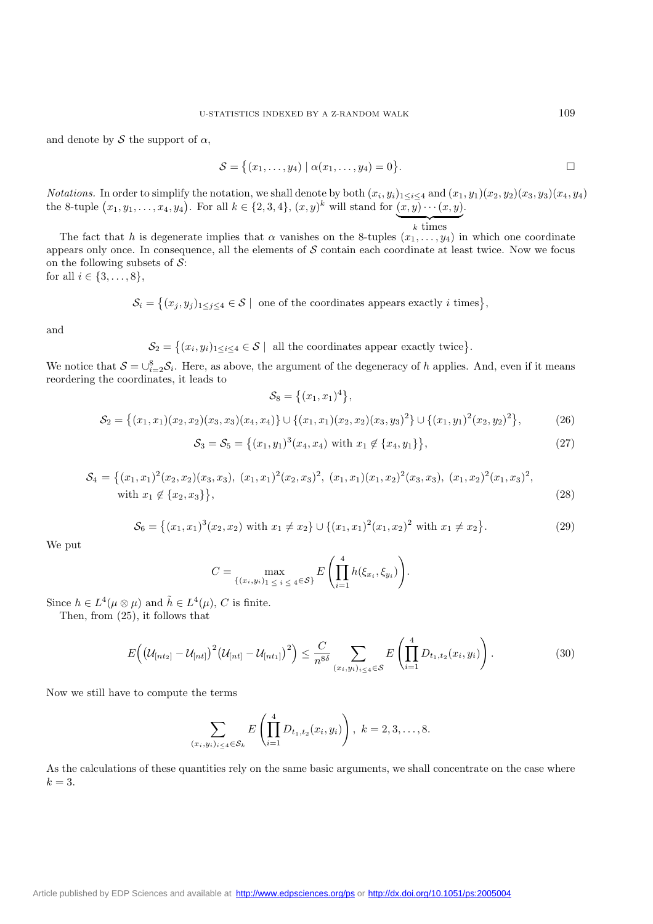and denote by  $\mathcal S$  the support of  $\alpha$ ,

$$
\mathcal{S} = \big\{ (x_1, \ldots, y_4) \mid \alpha(x_1, \ldots, y_4) = 0 \big\}.
$$

*Notations.* In order to simplify the notation, we shall denote by both  $(x_i, y_i)_{1 \leq i \leq 4}$  and  $(x_1, y_1)(x_2, y_2)(x_3, y_3)(x_4, y_4)$ the 8-tuple  $(x_1, y_1, \ldots, x_4, y_4)$ . For all  $k \in \{2, 3, 4\}$ ,  $(x, y)^k$  will stand for  $(x, y) \cdots (x, y)$ .

 $k \times$  times The fact that h is degenerate implies that  $\alpha$  vanishes on the 8-tuples  $(x_1,\ldots,y_4)$  in which one coordinate appears only once. In consequence, all the elements of  $S$  contain each coordinate at least twice. Now we focus on the following subsets of  $S$ : for all  $i \in \{3, ..., 8\},\$ 

$$
\mathcal{S}_i = \left\{ (x_j, y_j)_{1 \leq j \leq 4} \in \mathcal{S} \mid \text{ one of the coordinates appears exactly } i \text{ times} \right\},\
$$

and

 $\mathcal{S}_2 = \{(x_i, y_i)_{1 \leq i \leq 4} \in \mathcal{S} \mid \text{ all the coordinates appear exactly twice}\}.$ 

We notice that  $S = \bigcup_{i=2}^{8} S_i$ . Here, as above, the argument of the degeneracy of h applies. And, even if it means reordering the coordinates, it leads to  $S_8 = \{(x_1, x_1)^4\},\,$ 

$$
S_2 = \{(x_1, x_1)(x_2, x_2)(x_3, x_3)(x_4, x_4)\} \cup \{(x_1, x_1)(x_2, x_2)(x_3, y_3)^2\} \cup \{(x_1, y_1)^2(x_2, y_2)^2\},
$$
\n
$$
S_3 = S_5 = \{(x_1, y_1)^3(x_4, x_4) \text{ with } x_1 \notin \{x_4, y_1\}\},
$$
\n(27)

$$
S_4 = \{(x_1, x_1)^2(x_2, x_2)(x_3, x_3), (x_1, x_1)^2(x_2, x_3)^2, (x_1, x_1)(x_1, x_2)^2(x_3, x_3), (x_1, x_2)^2(x_1, x_3)^2, \text{with } x_1 \notin \{x_2, x_3\}\},
$$
\n
$$
(28)
$$

$$
S_6 = \{(x_1, x_1)^3 (x_2, x_2) \text{ with } x_1 \neq x_2\} \cup \{(x_1, x_1)^2 (x_1, x_2)^2 \text{ with } x_1 \neq x_2\}. \tag{29}
$$

We put

$$
C = \max_{\{(x_i, y_i)_1 \leq i \leq 4 \in \mathcal{S}\}} E\left(\prod_{i=1}^4 h(\xi_{x_i}, \xi_{y_i})\right).
$$

Since  $h \in L^4(\mu \otimes \mu)$  and  $\tilde{h} \in L^4(\mu)$ , C is finite.

Then, from (25), it follows that

$$
E\left(\left(\mathcal{U}_{[nt_2]} - \mathcal{U}_{[nt]}\right)^2 \left(\mathcal{U}_{[nt]} - \mathcal{U}_{[nt_1]}\right)^2\right) \leq \frac{C}{n^{8\delta}} \sum_{(x_i, y_i)_{i \leq 4} \in \mathcal{S}} E\left(\prod_{i=1}^4 D_{t_1, t_2}(x_i, y_i)\right).
$$
(30)

Now we still have to compute the terms

$$
\sum_{(x_i,y_i)_{i\leq 4}\in\mathcal{S}_k} E\left(\prod_{i=1}^4 D_{t_1,t_2}(x_i,y_i)\right), k=2,3,\ldots,8.
$$

As the calculations of these quantities rely on the same basic arguments, we shall concentrate on the case where  $k=3$ .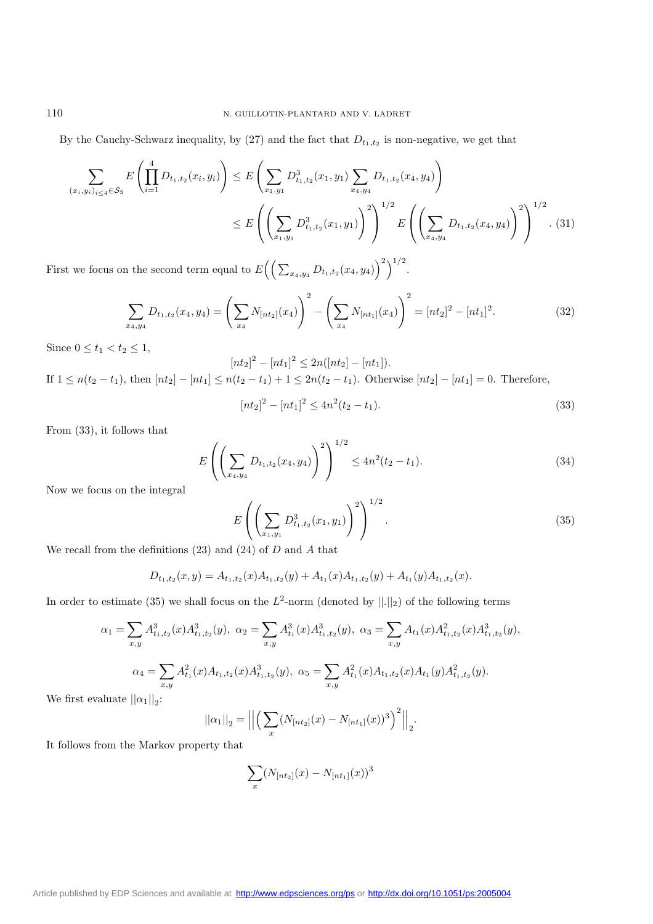By the Cauchy-Schwarz inequality, by  $(27)$  and the fact that  $D_{t_1,t_2}$  is non-negative, we get that

$$
\sum_{(x_i, y_i)_{i \le 4} \in \mathcal{S}_3} E\left(\prod_{i=1}^4 D_{t_1, t_2}(x_i, y_i)\right) \le E\left(\sum_{x_1, y_1} D_{t_1, t_2}^3(x_1, y_1) \sum_{x_4, y_4} D_{t_1, t_2}(x_4, y_4)\right)
$$
\n
$$
\le E\left(\left(\sum_{x_1, y_1} D_{t_1, t_2}^3(x_1, y_1)\right)^2\right)^{1/2} E\left(\left(\sum_{x_4, y_4} D_{t_1, t_2}(x_4, y_4)\right)^2\right)^{1/2}.\tag{31}
$$

First we focus on the second term equal to  $E((\sum_{x_4,y_4} D_{t_1,t_2}(x_4,y_4))^2)^{1/2}$ .

$$
\sum_{x_4,y_4} D_{t_1,t_2}(x_4,y_4) = \left(\sum_{x_4} N_{[nt_2]}(x_4)\right)^2 - \left(\sum_{x_4} N_{[nt_1]}(x_4)\right)^2 = [nt_2]^2 - [nt_1]^2.
$$
\n(32)

Since  $0 \le t_1 < t_2 \le 1$ ,

$$
[nt_2]^2 - [nt_1]^2 \le 2n([nt_2] - [nt_1]).
$$
  
If  $1 \le n(t_2 - t_1)$ , then  $[nt_2] - [nt_1] \le n(t_2 - t_1) + 1 \le 2n(t_2 - t_1)$ . Otherwise  $[nt_2] - [nt_1] = 0$ . Therefore,

$$
[nt2]^{2} - [nt1]^{2} \le 4n^{2}(t_{2} - t_{1}).
$$
\n(33)

From (33), it follows that

$$
E\left(\left(\sum_{x_4,y_4} D_{t_1,t_2}(x_4,y_4)\right)^2\right)^{1/2} \le 4n^2(t_2-t_1). \tag{34}
$$

Now we focus on the integral

$$
E\left(\left(\sum_{x_1,y_1} D_{t_1,t_2}^3(x_1,y_1)\right)^2\right)^{1/2}.
$$
\n(35)

We recall from the definitions  $(23)$  and  $(24)$  of D and A that

$$
D_{t_1,t_2}(x,y) = A_{t_1,t_2}(x)A_{t_1,t_2}(y) + A_{t_1}(x)A_{t_1,t_2}(y) + A_{t_1}(y)A_{t_1,t_2}(x).
$$

In order to estimate (35) we shall focus on the  $L^2$ -norm (denoted by  $||.||_2$ ) of the following terms

$$
\alpha_1 = \sum_{x,y} A_{t_1,t_2}^3(x) A_{t_1,t_2}^3(y), \ \alpha_2 = \sum_{x,y} A_{t_1}^3(x) A_{t_1,t_2}^3(y), \ \alpha_3 = \sum_{x,y} A_{t_1}(x) A_{t_1,t_2}^2(x) A_{t_1,t_2}^3(y),
$$

$$
\alpha_4 = \sum_{x,y} A_{t_1}^2(x) A_{t_1,t_2}(x) A_{t_1,t_2}^3(y), \ \alpha_5 = \sum_{x,y} A_{t_1}^2(x) A_{t_1,t_2}(x) A_{t_1}(y) A_{t_1,t_2}^2(y).
$$

We first evaluate  $||\alpha_1||_2$ :

$$
||\alpha_1||_2 = \left\| \left( \sum_x (N_{[nt_2]}(x) - N_{[nt_1]}(x))^3 \right)^2 \right\|_2.
$$

It follows from the Markov property that

$$
\sum_x (N_{[nt_2]}(x) - N_{[nt_1]}(x))^3
$$

[Article published by EDP Sciences and available at http://www.edpsciences.org/ps](http://www.edpsciences.org/ps) or <http://dx.doi.org/10.1051/ps:2005004>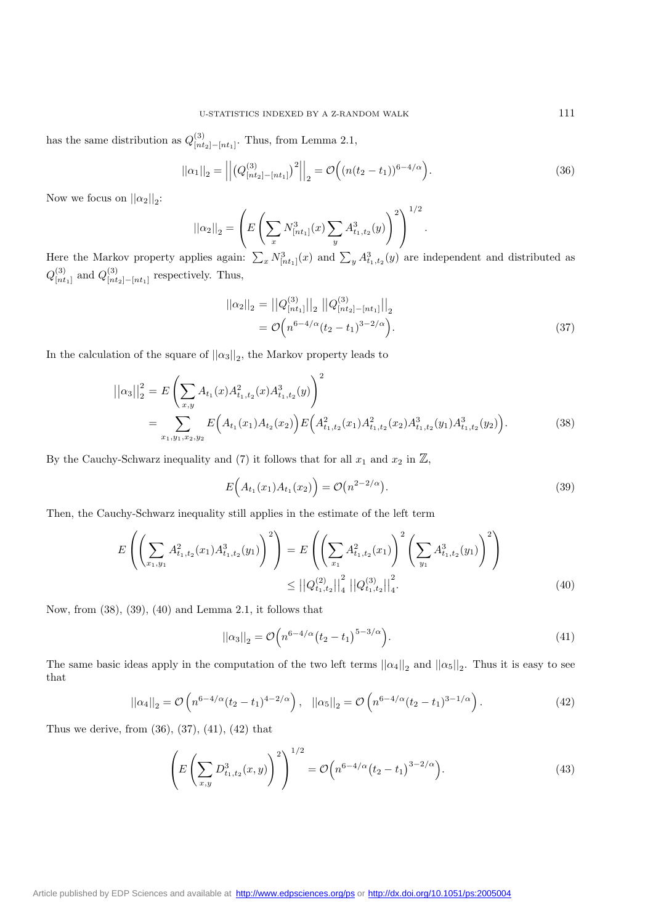has the same distribution as  $Q_{[nt_2]-[nt_1]}^{(3)}$ . Thus, from Lemma 2.1,

$$
||\alpha_1||_2 = \left| \left| \left( Q^{(3)}_{[nt_2] - [nt_1]} \right)^2 \right| \right|_2 = \mathcal{O}\left( (n(t_2 - t_1))^{6 - 4/\alpha} \right).
$$
\n(36)

Now we focus on  $||\alpha_2||_2$ :

$$
||\alpha_2||_2 = \left( E\left(\sum_x N_{[nt_1]}^3(x) \sum_y A_{t_1, t_2}^3(y)\right)^2 \right)^{1/2}.
$$

Here the Markov property applies again:  $\sum_{x} N_{[nt_1]}^3(x)$  and  $\sum_{y} A_{t_1,t_2}^3(y)$  are independent and distributed as  $Q^{(3)}_{[nt_1]}$  and  $Q^{(3)}_{[nt_2]-[nt_1]}$  respectively. Thus,

$$
||\alpha_2||_2 = ||Q_{[nt_1]}^{(3)}||_2 ||Q_{[nt_2]-[nt_1]}^{(3)}||_2
$$
  
=  $\mathcal{O}\Big(n^{6-4/\alpha}(t_2 - t_1)^{3-2/\alpha}\Big).$  (37)

In the calculation of the square of  $||\alpha_3||_2$ , the Markov property leads to

$$
\left| \left| \alpha_{3} \right| \right|_{2}^{2} = E \left( \sum_{x,y} A_{t_{1}}(x) A_{t_{1},t_{2}}^{2}(x) A_{t_{1},t_{2}}^{3}(y) \right)^{2}
$$
  
= 
$$
\sum_{x_{1},y_{1},x_{2},y_{2}} E \left( A_{t_{1}}(x_{1}) A_{t_{2}}(x_{2}) \right) E \left( A_{t_{1},t_{2}}^{2}(x_{1}) A_{t_{1},t_{2}}^{2}(x_{2}) A_{t_{1},t_{2}}^{3}(y_{1}) A_{t_{1},t_{2}}^{3}(y_{2}) \right).
$$
 (38)

By the Cauchy-Schwarz inequality and (7) it follows that for all  $x_1$  and  $x_2$  in  $\mathbb{Z}$ ,

$$
E(A_{t_1}(x_1)A_{t_1}(x_2)) = \mathcal{O}(n^{2-2/\alpha}).
$$
\n(39)

Then, the Cauchy-Schwarz inequality still applies in the estimate of the left term

$$
E\left(\left(\sum_{x_1,y_1} A_{t_1,t_2}^2(x_1) A_{t_1,t_2}^3(y_1)\right)^2\right) = E\left(\left(\sum_{x_1} A_{t_1,t_2}^2(x_1)\right)^2 \left(\sum_{y_1} A_{t_1,t_2}^3(y_1)\right)^2\right)
$$
  

$$
\leq ||Q_{t_1,t_2}^{(2)}||_4^2 ||Q_{t_1,t_2}^{(3)}||_4^2.
$$
 (40)

Now, from (38), (39), (40) and Lemma 2.1, it follows that

$$
||\alpha_3||_2 = \mathcal{O}\Big(n^{6-4/\alpha} (t_2 - t_1)^{5-3/\alpha}\Big). \tag{41}
$$

The same basic ideas apply in the computation of the two left terms  $||\alpha_4||_2$  and  $||\alpha_5||_2$ . Thus it is easy to see that

$$
||\alpha_4||_2 = \mathcal{O}\left(n^{6-4/\alpha}(t_2 - t_1)^{4-2/\alpha}\right), \quad ||\alpha_5||_2 = \mathcal{O}\left(n^{6-4/\alpha}(t_2 - t_1)^{3-1/\alpha}\right).
$$
 (42)

Thus we derive, from (36), (37), (41), (42) that

$$
\left(E\left(\sum_{x,y} D_{t_1,t_2}^3(x,y)\right)^2\right)^{1/2} = \mathcal{O}\left(n^{6-4/\alpha}\left(t_2 - t_1\right)^{3-2/\alpha}\right).
$$
\n(43)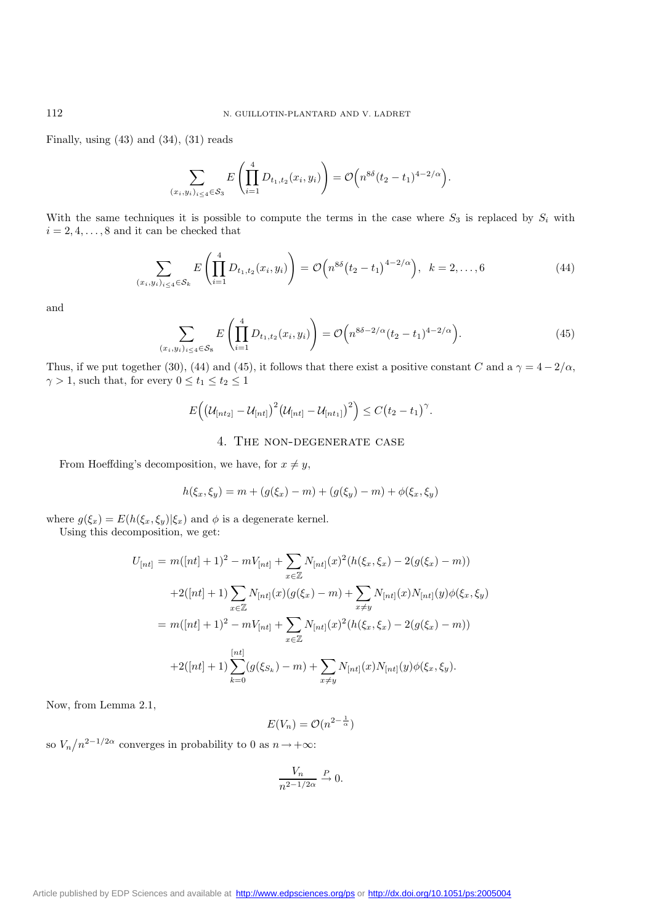Finally, using  $(43)$  and  $(34)$ ,  $(31)$  reads

$$
\sum_{(x_i,y_i)_{i\leq 4}\in S_3} E\left(\prod_{i=1}^4 D_{t_1,t_2}(x_i,y_i)\right) = \mathcal{O}\left(n^{8\delta}(t_2-t_1)^{4-2/\alpha}\right).
$$

With the same techniques it is possible to compute the terms in the case where  $S_3$  is replaced by  $S_i$  with  $i=2,4,\ldots,8$  and it can be checked that

$$
\sum_{(x_i,y_i)_{i\leq 4}\in\mathcal{S}_k} E\left(\prod_{i=1}^4 D_{t_1,t_2}(x_i,y_i)\right) = \mathcal{O}\left(n^{8\delta}\left(t_2-t_1\right)^{4-2/\alpha}\right), \ \ k=2,\ldots,6
$$
\n(44)

and

$$
\sum_{(x_i, y_i)_{i \le 4} \in \mathcal{S}_8} E\left(\prod_{i=1}^4 D_{t_1, t_2}(x_i, y_i)\right) = \mathcal{O}\left(n^{8\delta - 2/\alpha} (t_2 - t_1)^{4 - 2/\alpha}\right).
$$
\n(45)

Thus, if we put together (30), (44) and (45), it follows that there exist a positive constant C and a  $\gamma = 4 - 2/\alpha$ ,  $\gamma>1,$  such that, for every  $0\leq t_1\leq t_2\leq 1$ 

$$
E\Big(\big(\mathcal{U}_{[nt_2]}-\mathcal{U}_{[nt]}\big)^2\big(\mathcal{U}_{[nt]}-\mathcal{U}_{[nt_1]}\big)^2\Big)\leq C\big(t_2-t_1\big)^{\gamma}.
$$

## 4. The non-degenerate case

From Hoeffding's decomposition, we have, for  $x \neq y$ ,

$$
h(\xi_x, \xi_y) = m + (g(\xi_x) - m) + (g(\xi_y) - m) + \phi(\xi_x, \xi_y)
$$

where  $g(\xi_x) = E(h(\xi_x, \xi_y)|\xi_x)$  and  $\phi$  is a degenerate kernel.

Using this decomposition, we get:

$$
U_{[nt]} = m([nt] + 1)^2 - mV_{[nt]} + \sum_{x \in \mathbb{Z}} N_{[nt]}(x)^2 (h(\xi_x, \xi_x) - 2(g(\xi_x) - m))
$$
  
+2([nt] + 1)  $\sum_{x \in \mathbb{Z}} N_{[nt]}(x) (g(\xi_x) - m) + \sum_{x \neq y} N_{[nt]}(x) N_{[nt]}(y) \phi(\xi_x, \xi_y)$   
=  $m([nt] + 1)^2 - mV_{[nt]} + \sum_{x \in \mathbb{Z}} N_{[nt]}(x)^2 (h(\xi_x, \xi_x) - 2(g(\xi_x) - m))$   
+2([nt] + 1)  $\sum_{k=0}^{[nt]} (g(\xi_{S_k}) - m) + \sum_{x \neq y} N_{[nt]}(x) N_{[nt]}(y) \phi(\xi_x, \xi_y).$ 

Now, from Lemma 2.1,

$$
E(V_n) = \mathcal{O}(n^{2-\frac{1}{\alpha}})
$$

so  $V_n/n^{2-1/2\alpha}$  converges in probability to 0 as  $n \to +\infty$ :

$$
\frac{V_n}{n^{2-1/2\alpha}} \xrightarrow{P} 0.
$$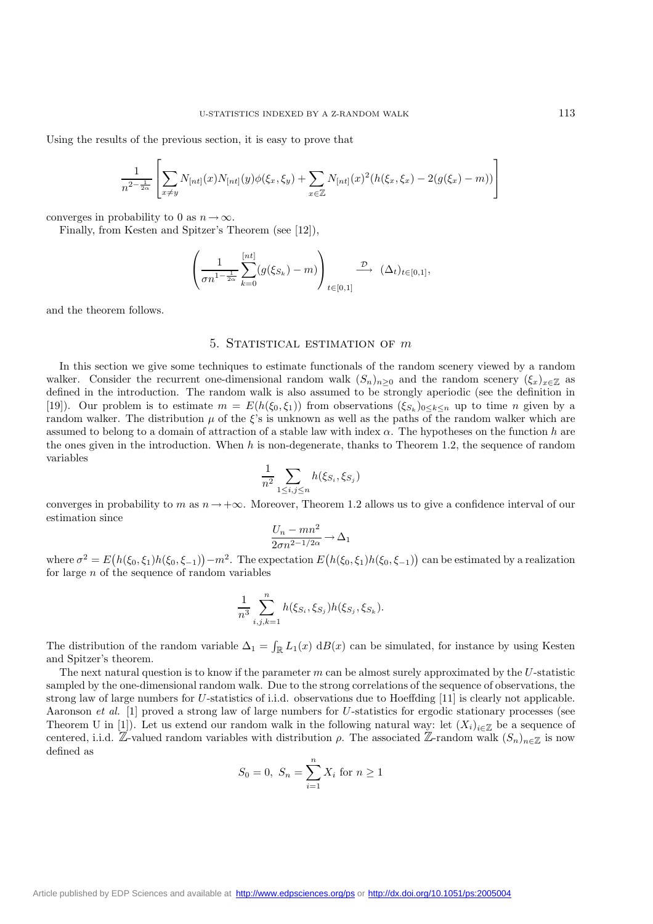Using the results of the previous section, it is easy to prove that

$$
\frac{1}{n^{2-\frac{1}{2\alpha}}}\left[\sum_{x\neq y}N_{[nt]}(x)N_{[nt]}(y)\phi(\xi_x,\xi_y)+\sum_{x\in\mathbb{Z}}N_{[nt]}(x)^2(h(\xi_x,\xi_x)-2(g(\xi_x)-m))\right]
$$

converges in probability to 0 as  $n \to \infty$ .

Finally, from Kesten and Spitzer's Theorem (see [12]),

$$
\left(\frac{1}{\sigma n^{1-\frac{1}{2\alpha}}}\sum_{k=0}^{[nt]}(g(\xi_{S_k})-m)\right)_{t\in[0,1]}\xrightarrow{\mathcal{D}}(\Delta_t)_{t\in[0,1]},
$$

and the theorem follows.

### 5. Statistical estimation of *m*

In this section we give some techniques to estimate functionals of the random scenery viewed by a random walker. Consider the recurrent one-dimensional random walk  $(S_n)_{n>0}$  and the random scenery  $(\xi_x)_{x\in\mathbb{Z}}$  as defined in the introduction. The random walk is also assumed to be strongly aperiodic (see the definition in [19]). Our problem is to estimate  $m = E(h(\xi_0, \xi_1))$  from observations  $(\xi_{S_k})_{0 \leq k \leq n}$  up to time n given by a random walker. The distribution  $\mu$  of the  $\xi$ 's is unknown as well as the paths of the random walker which are assumed to belong to a domain of attraction of a stable law with index  $\alpha$ . The hypotheses on the function h are the ones given in the introduction. When  $h$  is non-degenerate, thanks to Theorem 1.2, the sequence of random variables

$$
\frac{1}{n^2} \sum_{1 \le i,j \le n} h(\xi_{S_i}, \xi_{S_j})
$$

converges in probability to m as  $n \rightarrow +\infty$ . Moreover, Theorem 1.2 allows us to give a confidence interval of our estimation since

$$
\frac{U_n - mn^2}{2\sigma n^{2-1/2\alpha}} \to \Delta_1
$$

where  $\sigma^2 = E(h(\xi_0, \xi_1)h(\xi_0, \xi_{-1})) - m^2$ . The expectation  $E(h(\xi_0, \xi_1)h(\xi_0, \xi_{-1}))$  can be estimated by a realization for large  $n$  of the sequence of random variables

$$
\frac{1}{n^3} \sum_{i,j,k=1}^n h(\xi_{S_i}, \xi_{S_j}) h(\xi_{S_j}, \xi_{S_k}).
$$

The distribution of the random variable  $\Delta_1 = \int_{\mathbb{R}} L_1(x) dB(x)$  can be simulated, for instance by using Kesten and Spitzer's theorem.

The next natural question is to know if the parameter  $m$  can be almost surely approximated by the  $U$ -statistic sampled by the one-dimensional random walk. Due to the strong correlations of the sequence of observations, the strong law of large numbers for U-statistics of i.i.d. observations due to Hoeffding [11] is clearly not applicable. Aaronson *et al.* [1] proved a strong law of large numbers for U-statistics for ergodic stationary processes (see Theorem U in [1]). Let us extend our random walk in the following natural way: let  $(X_i)_{i\in\mathbb{Z}}$  be a sequence of centered, i.i.d. Z-valued random variables with distribution  $\rho$ . The associated Z-random walk  $(S_n)_{n\in\mathbb{Z}}$  is now defined as

$$
S_0 = 0
$$
,  $S_n = \sum_{i=1}^n X_i$  for  $n \ge 1$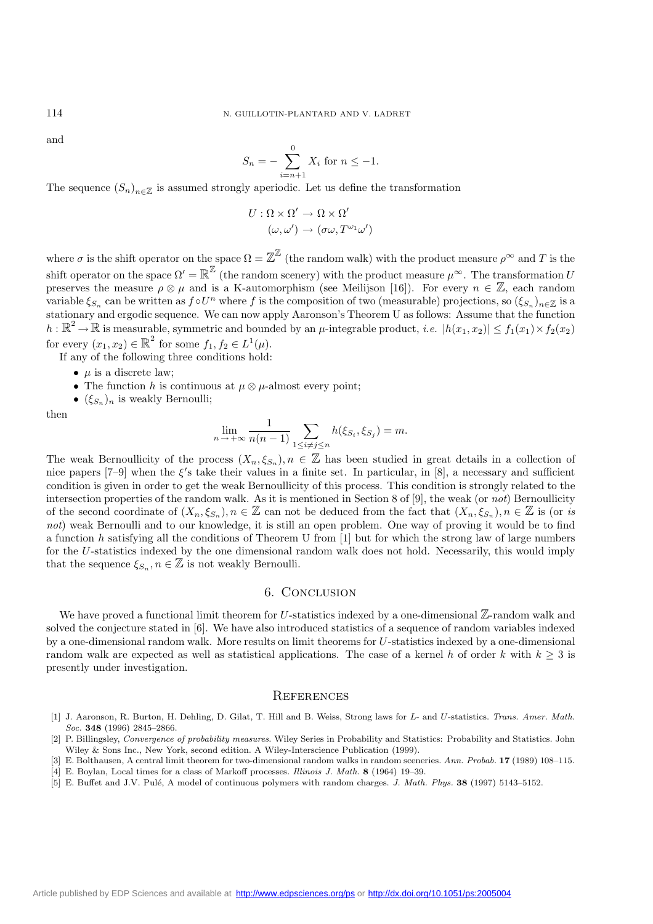and

$$
S_n = -\sum_{i=n+1}^{0} X_i \text{ for } n \le -1.
$$

The sequence  $(S_n)_{n\in\mathbb{Z}}$  is assumed strongly aperiodic. Let us define the transformation

$$
U: \Omega \times \Omega' \to \Omega \times \Omega'
$$

$$
(\omega, \omega') \to (\sigma \omega, T^{\omega_1} \omega')
$$

where  $\sigma$  is the shift operator on the space  $\Omega = \mathbb{Z}^{\mathbb{Z}}$  (the random walk) with the product measure  $\rho^{\infty}$  and T is the shift operator on the space  $\Omega' = \mathbb{R}^{\mathbb{Z}}$  (the random scenery) with the product measure  $\mu^{\infty}$ . The transformation U preserves the measure  $\rho \otimes \mu$  and is a K-automorphism (see Meilijson [16]). For every  $n \in \mathbb{Z}$ , each random variable  $\xi_{S_n}$  can be written as  $f \circ U^n$  where f is the composition of two (measurable) projections, so  $(\xi_{S_n})_{n\in\mathbb{Z}}$  is a stationary and ergodic sequence. We can now apply Aaronson's Theorem U as follows: Assume that the function  $h: \mathbb{R}^2 \to \mathbb{R}$  is measurable, symmetric and bounded by an  $\mu$ -integrable product, *i.e.*  $|h(x_1, x_2)| \le f_1(x_1) \times f_2(x_2)$ for every  $(x_1, x_2) \in \mathbb{R}^2$  for some  $f_1, f_2 \in L^1(\mu)$ .

If any of the following three conditions hold:

- $\mu$  is a discrete law:
- The function h is continuous at  $\mu \otimes \mu$ -almost every point;
- $(\xi_{S_n})_n$  is weakly Bernoulli;

then

$$
\lim_{n \to +\infty} \frac{1}{n(n-1)} \sum_{1 \le i \ne j \le n} h(\xi_{S_i}, \xi_{S_j}) = m.
$$

The weak Bernoullicity of the process  $(X_n, \xi_{S_n}), n \in \mathbb{Z}$  has been studied in great details in a collection of nice papers  $[7-9]$  when the  $\xi$ 's take their values in a finite set. In particular, in [8], a necessary and sufficient condition is given in order to get the weak Bernoullicity of this process. This condition is strongly related to the intersection properties of the random walk. As it is mentioned in Section 8 of [9], the weak (or *not*) Bernoullicity of the second coordinate of  $(X_n, \xi_{S_n}), n \in \mathbb{Z}$  can not be deduced from the fact that  $(X_n, \xi_{S_n}), n \in \mathbb{Z}$  is (or *is not*) weak Bernoulli and to our knowledge, it is still an open problem. One way of proving it would be to find a function h satisfying all the conditions of Theorem U from [1] but for which the strong law of large numbers for the U-statistics indexed by the one dimensional random walk does not hold. Necessarily, this would imply that the sequence  $\xi_{S_n}, n \in \mathbb{Z}$  is not weakly Bernoulli.

#### 6. Conclusion

We have proved a functional limit theorem for U-statistics indexed by a one-dimensional  $\mathbb{Z}$ -random walk and solved the conjecture stated in [6]. We have also introduced statistics of a sequence of random variables indexed by a one-dimensional random walk. More results on limit theorems for U-statistics indexed by a one-dimensional random walk are expected as well as statistical applications. The case of a kernel h of order k with  $k \geq 3$  is presently under investigation.

### **REFERENCES**

- [1] J. Aaronson, R. Burton, H. Dehling, D. Gilat, T. Hill and B. Weiss, Strong laws for *L* and *U*-statistics. *Trans. Amer. Math. Soc.* **348** (1996) 2845–2866.
- [2] P. Billingsley, *Convergence of probability measures*. Wiley Series in Probability and Statistics: Probability and Statistics. John Wiley & Sons Inc., New York, second edition. A Wiley-Interscience Publication (1999).
- [3] E. Bolthausen, A central limit theorem for two-dimensional random walks in random sceneries. *Ann. Probab.* **17** (1989) 108–115. [4] E. Boylan, Local times for a class of Markoff processes. *Illinois J. Math.* **8** (1964) 19–39.
- [5] E. Buffet and J.V. Pul´e, A model of continuous polymers with random charges. *J. Math. Phys.* **38** (1997) 5143–5152.